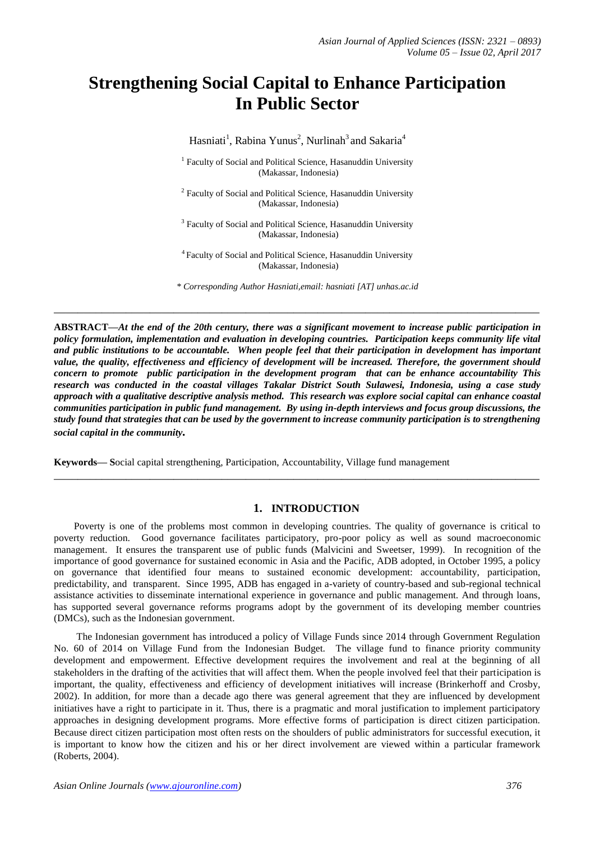# **Strengthening Social Capital to Enhance Participation In Public Sector**

Hasniati<sup>1</sup>, Rabina Yunus<sup>2</sup>, Nurlinah<sup>3</sup> and Sakaria<sup>4</sup>

<sup>1</sup> Faculty of Social and Political Science, Hasanuddin University (Makassar, Indonesia)

<sup>2</sup> Faculty of Social and Political Science, Hasanuddin University (Makassar, Indonesia)

<sup>3</sup> Faculty of Social and Political Science, Hasanuddin University (Makassar, Indonesia)

<sup>4</sup>Faculty of Social and Political Science, Hasanuddin University (Makassar, Indonesia)

*\* Corresponding Author Hasniati,email: hasniati [AT] unhas.ac.id*

**\_\_\_\_\_\_\_\_\_\_\_\_\_\_\_\_\_\_\_\_\_\_\_\_\_\_\_\_\_\_\_\_\_\_\_\_\_\_\_\_\_\_\_\_\_\_\_\_\_\_\_\_\_\_\_\_\_\_\_\_\_\_\_\_\_\_\_\_\_\_\_\_\_\_\_\_\_\_\_\_\_**

**ABSTRACT—***At the end of the 20th century, there was a significant movement to increase public participation in policy formulation, implementation and evaluation in developing countries. Participation keeps community life vital and public institutions to be accountable. When people feel that their participation in development has important value, the quality, effectiveness and efficiency of development will be increased. Therefore, the government should concern to promote public participation in the development program that can be enhance accountability This research was conducted in the coastal villages Takalar District South Sulawesi, Indonesia, using a case study approach with a qualitative descriptive analysis method. This research was explore social capital can enhance coastal communities participation in public fund management. By using in-depth interviews and focus group discussions, the study found that strategies that can be used by the government to increase community participation is to strengthening social capital in the community.* 

**Keywords— S**ocial capital strengthening, Participation, Accountability, Village fund management

# **1. INTRODUCTION**

**\_\_\_\_\_\_\_\_\_\_\_\_\_\_\_\_\_\_\_\_\_\_\_\_\_\_\_\_\_\_\_\_\_\_\_\_\_\_\_\_\_\_\_\_\_\_\_\_\_\_\_\_\_\_\_\_\_\_\_\_\_\_\_\_\_\_\_\_\_\_\_\_\_\_\_\_\_\_\_\_\_**

 Poverty is one of the problems most common in developing countries. The quality of governance is critical to poverty reduction. Good governance facilitates participatory, pro-poor policy as well as sound macroeconomic management. It ensures the transparent use of public funds (Malvicini and Sweetser, 1999). In recognition of the importance of good governance for sustained economic in Asia and the Pacific, ADB adopted, in October 1995, a policy on governance that identified four means to sustained economic development: accountability, participation, predictability, and transparent. Since 1995, ADB has engaged in a-variety of country-based and sub-regional technical assistance activities to disseminate international experience in governance and public management. And through loans, has supported several governance reforms programs adopt by the government of its developing member countries (DMCs), such as the Indonesian government.

The Indonesian government has introduced a policy of Village Funds since 2014 through Government Regulation No. 60 of 2014 on Village Fund from the Indonesian Budget. The village fund to finance priority community development and empowerment. Effective development requires the involvement and real at the beginning of all stakeholders in the drafting of the activities that will affect them. When the people involved feel that their participation is important, the quality, effectiveness and efficiency of development initiatives will increase (Brinkerhoff and Crosby, 2002). In addition, for more than a decade ago there was general agreement that they are influenced by development initiatives have a right to participate in it. Thus, there is a pragmatic and moral justification to implement participatory approaches in designing development programs. More effective forms of participation is direct citizen participation. Because direct citizen participation most often rests on the shoulders of public administrators for successful execution, it is important to know how the citizen and his or her direct involvement are viewed within a particular framework (Roberts, 2004).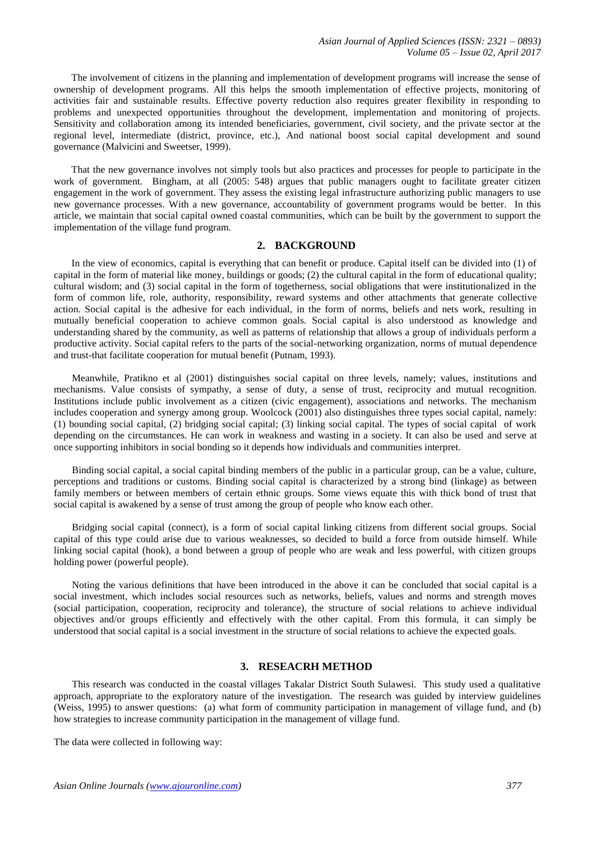The involvement of citizens in the planning and implementation of development programs will increase the sense of ownership of development programs. All this helps the smooth implementation of effective projects, monitoring of activities fair and sustainable results. Effective poverty reduction also requires greater flexibility in responding to problems and unexpected opportunities throughout the development, implementation and monitoring of projects. Sensitivity and collaboration among its intended beneficiaries, government, civil society, and the private sector at the regional level, intermediate (district, province, etc.), And national boost social capital development and sound governance (Malvicini and Sweetser, 1999).

 That the new governance involves not simply tools but also practices and processes for people to participate in the work of government. Bingham, at all (2005: 548) argues that public managers ought to facilitate greater citizen engagement in the work of government. They assess the existing legal infrastructure authorizing public managers to use new governance processes. With a new governance, accountability of government programs would be better. In this article, we maintain that social capital owned coastal communities, which can be built by the government to support the implementation of the village fund program.

# **2. BACKGROUND**

 In the view of economics, capital is everything that can benefit or produce. Capital itself can be divided into (1) of capital in the form of material like money, buildings or goods; (2) the cultural capital in the form of educational quality; cultural wisdom; and (3) social capital in the form of togetherness, social obligations that were institutionalized in the form of common life, role, authority, responsibility, reward systems and other attachments that generate collective action. Social capital is the adhesive for each individual, in the form of norms, beliefs and nets work, resulting in mutually beneficial cooperation to achieve common goals. Social capital is also understood as knowledge and understanding shared by the community, as well as patterns of relationship that allows a group of individuals perform a productive activity. Social capital refers to the parts of the social-networking organization, norms of mutual dependence and trust-that facilitate cooperation for mutual benefit (Putnam, 1993).

Meanwhile, Pratikno et al (2001) distinguishes social capital on three levels, namely; values, institutions and mechanisms. Value consists of sympathy, a sense of duty, a sense of trust, reciprocity and mutual recognition. Institutions include public involvement as a citizen (civic engagement), associations and networks. The mechanism includes cooperation and synergy among group. Woolcock (2001) also distinguishes three types social capital, namely: (1) bounding social capital, (2) bridging social capital; (3) linking social capital. The types of social capital of work depending on the circumstances. He can work in weakness and wasting in a society. It can also be used and serve at once supporting inhibitors in social bonding so it depends how individuals and communities interpret.

Binding social capital, a social capital binding members of the public in a particular group, can be a value, culture, perceptions and traditions or customs. Binding social capital is characterized by a strong bind (linkage) as between family members or between members of certain ethnic groups. Some views equate this with thick bond of trust that social capital is awakened by a sense of trust among the group of people who know each other.

Bridging social capital (connect), is a form of social capital linking citizens from different social groups. Social capital of this type could arise due to various weaknesses, so decided to build a force from outside himself. While linking social capital (hook), a bond between a group of people who are weak and less powerful, with citizen groups holding power (powerful people).

Noting the various definitions that have been introduced in the above it can be concluded that social capital is a social investment, which includes social resources such as networks, beliefs, values and norms and strength moves (social participation, cooperation, reciprocity and tolerance), the structure of social relations to achieve individual objectives and/or groups efficiently and effectively with the other capital. From this formula, it can simply be understood that social capital is a social investment in the structure of social relations to achieve the expected goals.

#### **3. RESEACRH METHOD**

This research was conducted in the coastal villages Takalar District South Sulawesi. This study used a qualitative approach, appropriate to the exploratory nature of the investigation. The research was guided by interview guidelines (Weiss, 1995) to answer questions: (a) what form of community participation in management of village fund, and (b) how strategies to increase community participation in the management of village fund.

The data were collected in following way: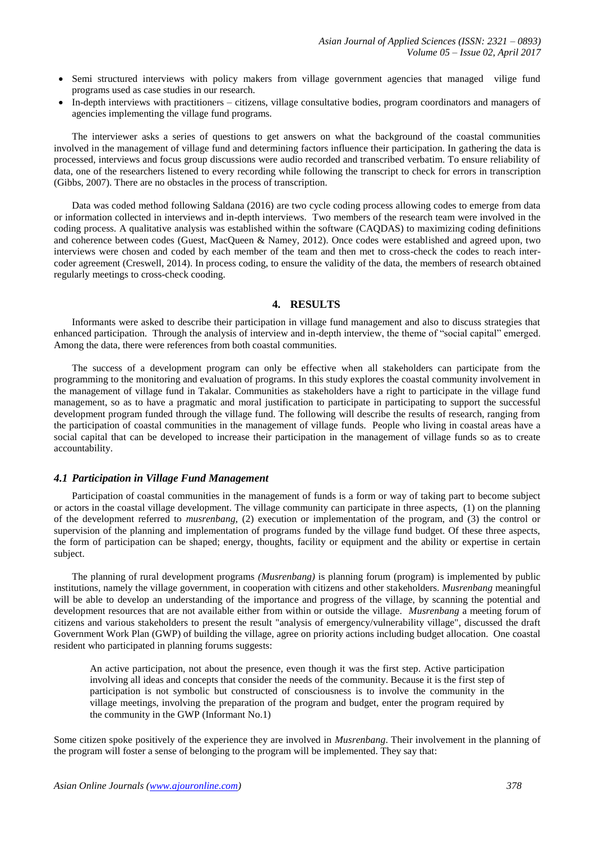- Semi structured interviews with policy makers from village government agencies that managed vilige fund programs used as case studies in our research.
- In-depth interviews with practitioners citizens, village consultative bodies, program coordinators and managers of agencies implementing the village fund programs.

The interviewer asks a series of questions to get answers on what the background of the coastal communities involved in the management of village fund and determining factors influence their participation. In gathering the data is processed, interviews and focus group discussions were audio recorded and transcribed verbatim. To ensure reliability of data, one of the researchers listened to every recording while following the transcript to check for errors in transcription (Gibbs, 2007). There are no obstacles in the process of transcription.

Data was coded method following Saldana (2016) are two cycle coding process allowing codes to emerge from data or information collected in interviews and in-depth interviews. Two members of the research team were involved in the coding process. A qualitative analysis was established within the software (CAQDAS) to maximizing coding definitions and coherence between codes (Guest, MacQueen & Namey, 2012). Once codes were established and agreed upon, two interviews were chosen and coded by each member of the team and then met to cross-check the codes to reach intercoder agreement (Creswell, 2014). In process coding, to ensure the validity of the data, the members of research obtained regularly meetings to cross-check cooding.

# **4. RESULTS**

Informants were asked to describe their participation in village fund management and also to discuss strategies that enhanced participation. Through the analysis of interview and in-depth interview, the theme of "social capital" emerged. Among the data, there were references from both coastal communities.

The success of a development program can only be effective when all stakeholders can participate from the programming to the monitoring and evaluation of programs. In this study explores the coastal community involvement in the management of village fund in Takalar. Communities as stakeholders have a right to participate in the village fund management, so as to have a pragmatic and moral justification to participate in participating to support the successful development program funded through the village fund. The following will describe the results of research, ranging from the participation of coastal communities in the management of village funds. People who living in coastal areas have a social capital that can be developed to increase their participation in the management of village funds so as to create accountability.

#### *4.1 Participation in Village Fund Management*

Participation of coastal communities in the management of funds is a form or way of taking part to become subject or actors in the coastal village development. The village community can participate in three aspects, (1) on the planning of the development referred to *musrenbang,* (2) execution or implementation of the program, and (3) the control or supervision of the planning and implementation of programs funded by the village fund budget. Of these three aspects, the form of participation can be shaped; energy, thoughts, facility or equipment and the ability or expertise in certain subject.

The planning of rural development programs *(Musrenbang)* is planning forum (program) is implemented by public institutions, namely the village government, in cooperation with citizens and other stakeholders. *Musrenbang* meaningful will be able to develop an understanding of the importance and progress of the village, by scanning the potential and development resources that are not available either from within or outside the village. *Musrenbang* a meeting forum of citizens and various stakeholders to present the result "analysis of emergency/vulnerability village", discussed the draft Government Work Plan (GWP) of building the village, agree on priority actions including budget allocation. One coastal resident who participated in planning forums suggests:

An active participation, not about the presence, even though it was the first step. Active participation involving all ideas and concepts that consider the needs of the community. Because it is the first step of participation is not symbolic but constructed of consciousness is to involve the community in the village meetings, involving the preparation of the program and budget, enter the program required by the community in the GWP (Informant No.1)

Some citizen spoke positively of the experience they are involved in *Musrenbang*. Their involvement in the planning of the program will foster a sense of belonging to the program will be implemented. They say that: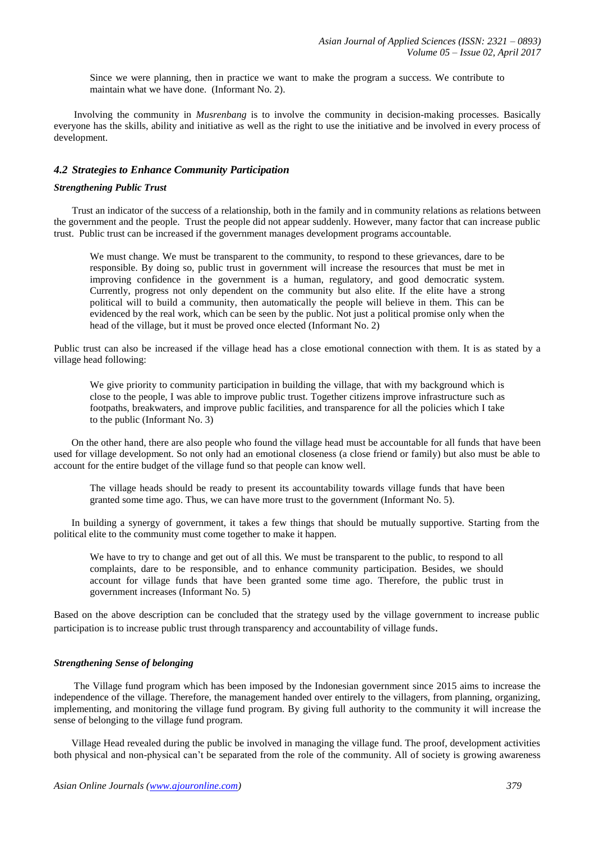Since we were planning, then in practice we want to make the program a success. We contribute to maintain what we have done. (Informant No. 2).

 Involving the community in *Musrenbang* is to involve the community in decision-making processes. Basically everyone has the skills, ability and initiative as well as the right to use the initiative and be involved in every process of development.

# *4.2 Strategies to Enhance Community Participation*

#### *Strengthening Public Trust*

Trust an indicator of the success of a relationship, both in the family and in community relations as relations between the government and the people. Trust the people did not appear suddenly. However, many factor that can increase public trust. Public trust can be increased if the government manages development programs accountable.

We must change. We must be transparent to the community, to respond to these grievances, dare to be responsible. By doing so, public trust in government will increase the resources that must be met in improving confidence in the government is a human, regulatory, and good democratic system. Currently, progress not only dependent on the community but also elite. If the elite have a strong political will to build a community, then automatically the people will believe in them. This can be evidenced by the real work, which can be seen by the public. Not just a political promise only when the head of the village, but it must be proved once elected (Informant No. 2)

Public trust can also be increased if the village head has a close emotional connection with them. It is as stated by a village head following:

We give priority to community participation in building the village, that with my background which is close to the people, I was able to improve public trust. Together citizens improve infrastructure such as footpaths, breakwaters, and improve public facilities, and transparence for all the policies which I take to the public (Informant No. 3)

 On the other hand, there are also people who found the village head must be accountable for all funds that have been used for village development. So not only had an emotional closeness (a close friend or family) but also must be able to account for the entire budget of the village fund so that people can know well.

The village heads should be ready to present its accountability towards village funds that have been granted some time ago. Thus, we can have more trust to the government (Informant No. 5).

 In building a synergy of government, it takes a few things that should be mutually supportive. Starting from the political elite to the community must come together to make it happen.

We have to try to change and get out of all this. We must be transparent to the public, to respond to all complaints, dare to be responsible, and to enhance community participation. Besides, we should account for village funds that have been granted some time ago. Therefore, the public trust in government increases (Informant No. 5)

Based on the above description can be concluded that the strategy used by the village government to increase public participation is to increase public trust through transparency and accountability of village funds.

## *Strengthening Sense of belonging*

 The Village fund program which has been imposed by the Indonesian government since 2015 aims to increase the independence of the village. Therefore, the management handed over entirely to the villagers, from planning, organizing, implementing, and monitoring the village fund program. By giving full authority to the community it will increase the sense of belonging to the village fund program.

 Village Head revealed during the public be involved in managing the village fund. The proof, development activities both physical and non-physical can't be separated from the role of the community. All of society is growing awareness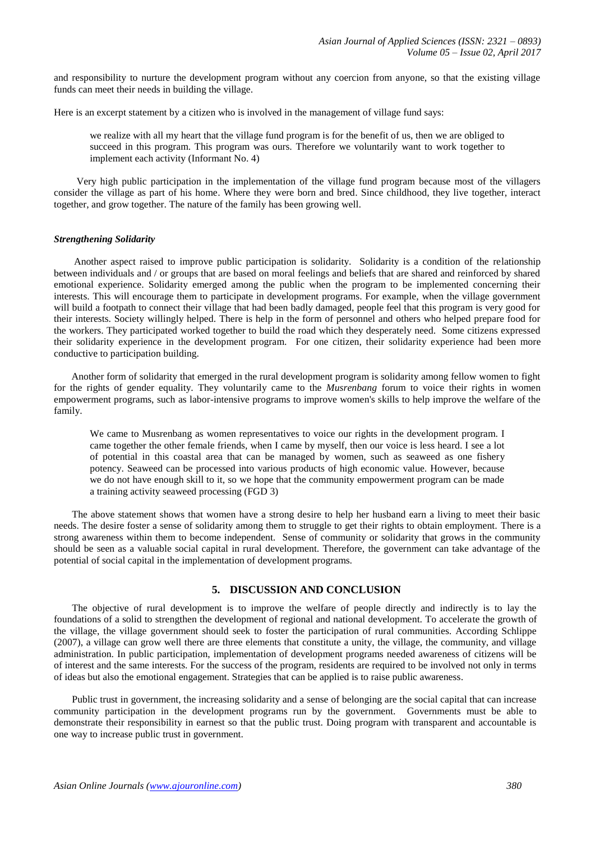and responsibility to nurture the development program without any coercion from anyone, so that the existing village funds can meet their needs in building the village.

Here is an excerpt statement by a citizen who is involved in the management of village fund says:

we realize with all my heart that the village fund program is for the benefit of us, then we are obliged to succeed in this program. This program was ours. Therefore we voluntarily want to work together to implement each activity (Informant No. 4)

 Very high public participation in the implementation of the village fund program because most of the villagers consider the village as part of his home. Where they were born and bred. Since childhood, they live together, interact together, and grow together. The nature of the family has been growing well.

#### *Strengthening Solidarity*

 Another aspect raised to improve public participation is solidarity. Solidarity is a condition of the relationship between individuals and / or groups that are based on moral feelings and beliefs that are shared and reinforced by shared emotional experience. Solidarity emerged among the public when the program to be implemented concerning their interests. This will encourage them to participate in development programs. For example, when the village government will build a footpath to connect their village that had been badly damaged, people feel that this program is very good for their interests. Society willingly helped. There is help in the form of personnel and others who helped prepare food for the workers. They participated worked together to build the road which they desperately need. Some citizens expressed their solidarity experience in the development program. For one citizen, their solidarity experience had been more conductive to participation building.

 Another form of solidarity that emerged in the rural development program is solidarity among fellow women to fight for the rights of gender equality. They voluntarily came to the *Musrenbang* forum to voice their rights in women empowerment programs, such as labor-intensive programs to improve women's skills to help improve the welfare of the family.

We came to Musrenbang as women representatives to voice our rights in the development program. I came together the other female friends, when I came by myself, then our voice is less heard. I see a lot of potential in this coastal area that can be managed by women, such as seaweed as one fishery potency. Seaweed can be processed into various products of high economic value. However, because we do not have enough skill to it, so we hope that the community empowerment program can be made a training activity seaweed processing (FGD 3)

The above statement shows that women have a strong desire to help her husband earn a living to meet their basic needs. The desire foster a sense of solidarity among them to struggle to get their rights to obtain employment. There is a strong awareness within them to become independent. Sense of community or solidarity that grows in the community should be seen as a valuable social capital in rural development. Therefore, the government can take advantage of the potential of social capital in the implementation of development programs.

## **5. DISCUSSION AND CONCLUSION**

The objective of rural development is to improve the welfare of people directly and indirectly is to lay the foundations of a solid to strengthen the development of regional and national development. To accelerate the growth of the village, the village government should seek to foster the participation of rural communities. According Schlippe (2007), a village can grow well there are three elements that constitute a unity, the village, the community, and village administration. In public participation, implementation of development programs needed awareness of citizens will be of interest and the same interests. For the success of the program, residents are required to be involved not only in terms of ideas but also the emotional engagement. Strategies that can be applied is to raise public awareness.

Public trust in government, the increasing solidarity and a sense of belonging are the social capital that can increase community participation in the development programs run by the government. Governments must be able to demonstrate their responsibility in earnest so that the public trust. Doing program with transparent and accountable is one way to increase public trust in government.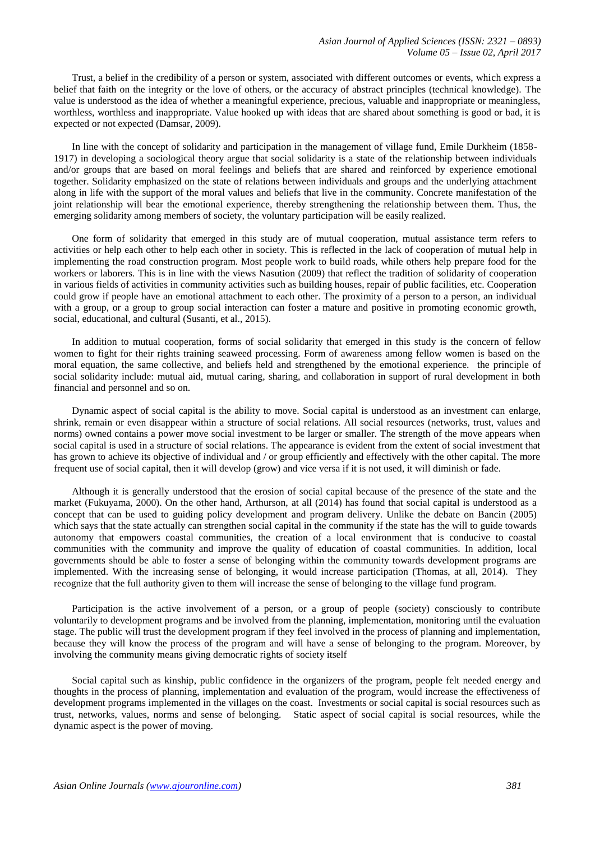Trust, a belief in the credibility of a person or system, associated with different outcomes or events, which express a belief that faith on the integrity or the love of others, or the accuracy of abstract principles (technical knowledge). The value is understood as the idea of whether a meaningful experience, precious, valuable and inappropriate or meaningless, worthless, worthless and inappropriate. Value hooked up with ideas that are shared about something is good or bad, it is expected or not expected (Damsar, 2009).

In line with the concept of solidarity and participation in the management of village fund, Emile Durkheim (1858- 1917) in developing a sociological theory argue that social solidarity is a state of the relationship between individuals and/or groups that are based on moral feelings and beliefs that are shared and reinforced by experience emotional together. Solidarity emphasized on the state of relations between individuals and groups and the underlying attachment along in life with the support of the moral values and beliefs that live in the community. Concrete manifestation of the joint relationship will bear the emotional experience, thereby strengthening the relationship between them. Thus, the emerging solidarity among members of society, the voluntary participation will be easily realized.

One form of solidarity that emerged in this study are of mutual cooperation, mutual assistance term refers to activities or help each other to help each other in society. This is reflected in the lack of cooperation of mutual help in implementing the road construction program. Most people work to build roads, while others help prepare food for the workers or laborers. This is in line with the views Nasution (2009) that reflect the tradition of solidarity of cooperation in various fields of activities in community activities such as building houses, repair of public facilities, etc. Cooperation could grow if people have an emotional attachment to each other. The proximity of a person to a person, an individual with a group, or a group to group social interaction can foster a mature and positive in promoting economic growth, social, educational, and cultural (Susanti, et al., 2015).

In addition to mutual cooperation, forms of social solidarity that emerged in this study is the concern of fellow women to fight for their rights training seaweed processing. Form of awareness among fellow women is based on the moral equation, the same collective, and beliefs held and strengthened by the emotional experience. the principle of social solidarity include: mutual aid, mutual caring, sharing, and collaboration in support of rural development in both financial and personnel and so on.

Dynamic aspect of social capital is the ability to move. Social capital is understood as an investment can enlarge, shrink, remain or even disappear within a structure of social relations. All social resources (networks, trust, values and norms) owned contains a power move social investment to be larger or smaller. The strength of the move appears when social capital is used in a structure of social relations. The appearance is evident from the extent of social investment that has grown to achieve its objective of individual and / or group efficiently and effectively with the other capital. The more frequent use of social capital, then it will develop (grow) and vice versa if it is not used, it will diminish or fade.

Although it is generally understood that the erosion of social capital because of the presence of the state and the market (Fukuyama, 2000). On the other hand, Arthurson, at all (2014) has found that social capital is understood as a concept that can be used to guiding policy development and program delivery. Unlike the debate on Bancin (2005) which says that the state actually can strengthen social capital in the community if the state has the will to guide towards autonomy that empowers coastal communities, the creation of a local environment that is conducive to coastal communities with the community and improve the quality of education of coastal communities. In addition, local governments should be able to foster a sense of belonging within the community towards development programs are implemented. With the increasing sense of belonging, it would increase participation (Thomas, at all, 2014). They recognize that the full authority given to them will increase the sense of belonging to the village fund program.

Participation is the active involvement of a person, or a group of people (society) consciously to contribute voluntarily to development programs and be involved from the planning, implementation, monitoring until the evaluation stage. The public will trust the development program if they feel involved in the process of planning and implementation, because they will know the process of the program and will have a sense of belonging to the program. Moreover, by involving the community means giving democratic rights of society itself

Social capital such as kinship, public confidence in the organizers of the program, people felt needed energy and thoughts in the process of planning, implementation and evaluation of the program, would increase the effectiveness of development programs implemented in the villages on the coast. Investments or social capital is social resources such as trust, networks, values, norms and sense of belonging. Static aspect of social capital is social resources, while the dynamic aspect is the power of moving.